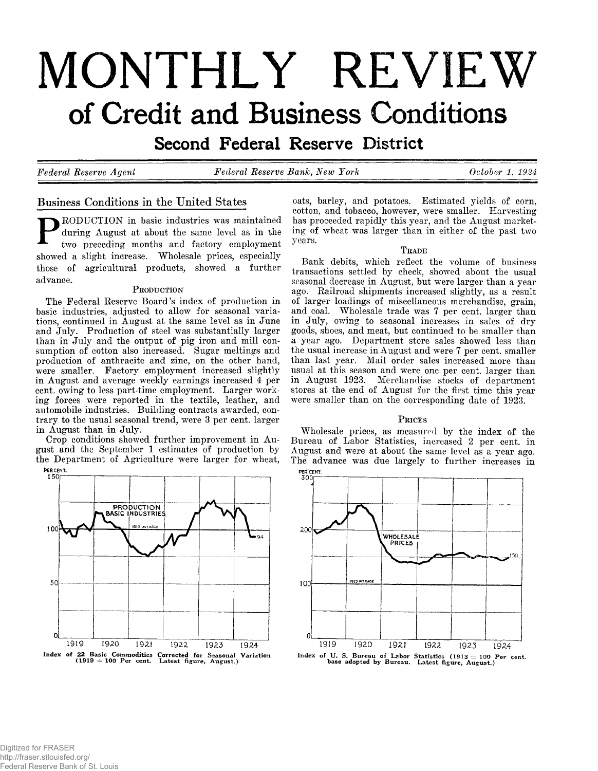# **MONTHLY REVIEW** of Credit and Business Conditions

Second Federal Reserve District

*Federal Reserve Agent Federal Reserve Bank, New York October 1 , 1924*

# **Business Conditions in the United States**

RODUCTION in basic industries was maintained during August at about the same level as in the two preceding months and factory employment showed a slight increase. Wholesale prices, especially those of agricultural products, showed a further advance.

#### PRODUCTION

The Federal Reserve Board's index of production in basic industries, adjusted to allow for seasonal variations, continued in August at the same level as in June and July. Production of steel was substantially larger than in July and the output of pig iron and mill consumption of cotton also increased. Sugar meltings and production of anthracite and zinc, on the other hand, were smaller. Factory employment increased slightly in August and average weekly earnings increased 4 per cent, owing to less part-time employment. Larger working forces were reported in the textile, leather, and automobile industries. Building contracts awarded, contrary to the usual seasonal trend, were 3 per cent, larger in August than in July.

Crop conditions showed further improvement in August and the September 1 estimates of production by the Department of Agriculture were larger for wheat,



oats, barley, and potatoes. Estimated yields of corn, cotton, and tobacco, however, were smaller. Harvesting has proceeded rapidly this year, and the August marketing of wheat was larger than in either of the past two years.

#### **T r ade**

Bank debits, which reflect the volume of business transactions settled by check, showed about the usual seasonal decrease in August, but were larger than a year ago. Railroad shipments increased slightly, as a result of larger loadings of miscellaneous merchandise, grain, and coal. Wholesale trade was 7 per cent, larger than in July, owing to seasonal increases in sales of dry goods, shoes, and meat, but continued to be smaller than a year ago. Department store sales showed less than the usual increase in August and were 7 per cent, smaller than last year. Mail order sales increased more than usual at this season and were one per cent, larger than in August 1923. Merchandise stocks of department stores at the end of August for the first time this year were smaller than on the corresponding date of 1923.

#### PRICES

Wholesale prices, as measured by the index of the Bureau of Labor Statistics, increased 2 per cent, in August and were at about the same level as a year ago. The advance was due largely to further increases in



Index of U.S. Bureau of Labor Statistics (1913  $\equiv$  100 Per cent.<br>base adopted by Bureau. Latest figure, August.)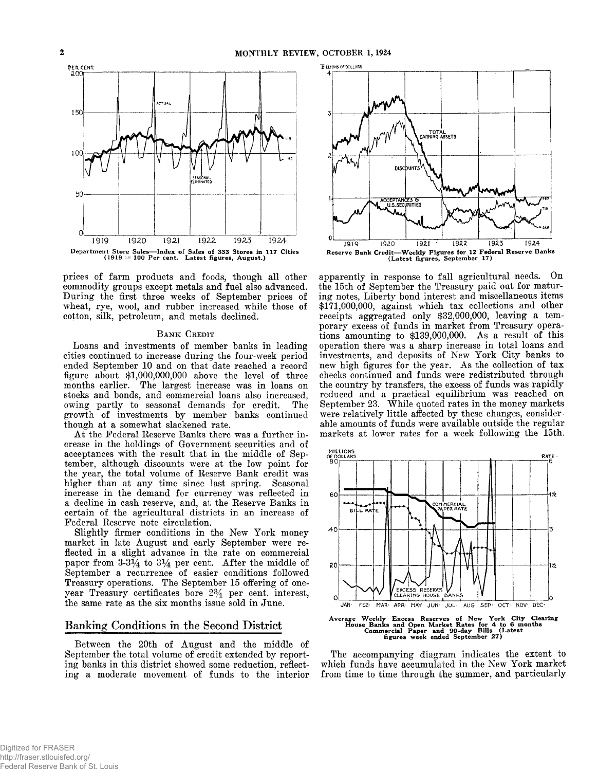

prices of farm products and foods, though all other commodity groups except metals and fuel also advanced. During the first three weeks of September prices of wheat, rye, wool, and rubber increased while those of cotton, silk, petroleum, and metals declined.

#### **BANK** CREDIT

Loans and investments of member banks in leading cities continued to increase during the four-week period ended September 10 and on that date reached a record figure about \$1,000,000,000 above the level of three months earlier. The largest increase was in loans on stocks and bonds, and commercial loans also increased, owing partly to seasonal demands for credit. The growth of investments by member banks continued though at a somewhat slackened rate.

At the Federal Reserve Banks there was a further increase in the holdings of Government securities and of acceptances with the result that in the middle of September, although discounts were at the low point for the year, the total volume of Reserve Bank credit was higher than at any time since last spring. Seasonal increase in the demand for currency was reflected in a decline in cash reserve, and, at the Reserve Banks in certain of the agricultural districts in an increase of Federal Reserve note circulation.

Slightly firmer conditions in the New York money market in late August and early September were reflected in a slight advance in the rate on commercial paper from  $3-3\frac{1}{4}$  to  $3\frac{1}{4}$  per cent. After the middle of September a recurrence of easier conditions followed Treasury operations. The September 15 offering of oneyear Treasury certificates bore *2%* per cent, interest, the same rate as the six months issue sold in June.

#### **Banking Conditions in the Second District**

Between the 20th of August and the middle of September the total volume of credit extended by reporting banks in this district showed some reduction, reflecting a moderate movement of funds to the interior



apparently in response to fall agricultural needs. On the 15th of September the Treasury paid out for maturing notes, Liberty bond interest and miscellaneous items \$171,000,000, against which tax collections and other receipts aggregated only \$32,000,000, leaving a temporary excess of funds in market from Treasury operations amounting to \$139,000,000. As a result of this operation there was a sharp increase in total loans and investments, and deposits of New York City banks to new high figures for the year. As the collection of tax checks continued and funds were redistributed through the country by transfers, the excess of funds was rapidly reduced and a practical equilibrium was reached on September 23. While quoted rates in the money markets were relatively little affected by these changes, considerable amounts of funds were available outside the regular markets at lower rates for a week following the 15th.



The accompanying diagram indicates the extent to which funds have accumulated in the New York market from time to time through the summer, and particularly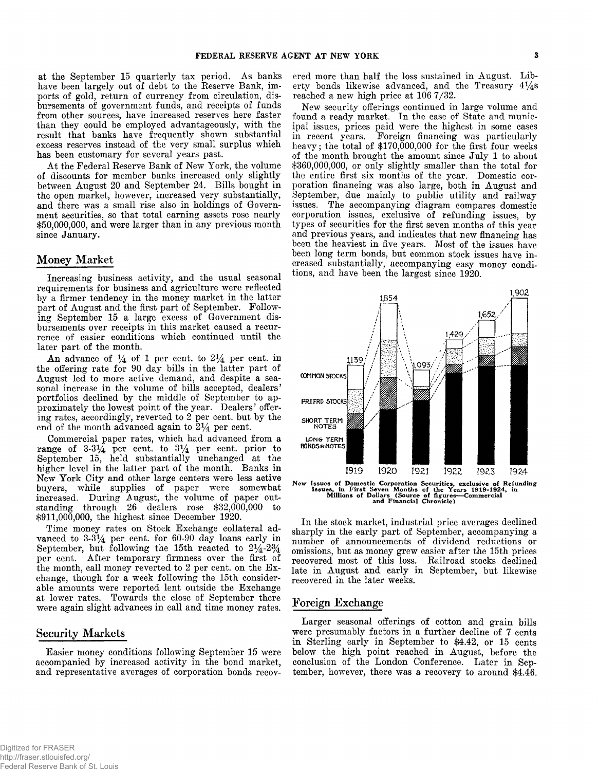at the September 15 quarterly tax period. As banks have been largely out of debt to the Reserve Bank, imports of gold, return of currency from circulation, disbursements of government funds, and receipts of funds from other sources, have increased reserves here faster than they could be employed advantageously, with the result that banks have frequently shown substantial excess reserves instead of the very small surplus which has been customary for several years past.

At the Federal Reserve Bank of New York, the volume of discounts for member banks increased only slightly between August 20 and September 24. Bills bought in the open market, however, increased very substantially, and there was a small rise also in holdings of Government securities, so that total earning assets rose nearly \$50,000,000, and were larger than in any previous month since January.

#### **Money Market**

Increasing business activity, and the usual seasonal requirements for business and agriculture were reflected by a firmer tendency in the money market in the latter part of August and the first part of September. Following September 15 a large excess of Government disbursements over receipts in this market caused a recurrence of easier conditions which continued until the later part of the month.

An advance of  $\frac{1}{4}$  of 1 per cent, to  $2\frac{1}{4}$  per cent, in the offering rate for 90 day bills in the latter part of August led to more active demand, and despite a seasonal increase in the volume of bills accepted, dealers' portfolios declined by the middle of September to approximately the lowest point of the year. Dealers' offering rates, accordingly, reverted to 2 per cent, but by the end of the month advanced again to  $2\frac{1}{4}$  per cent.

Commercial paper rates, which had advanced from a range of  $3-3\frac{1}{4}$  per cent, to  $3\frac{1}{4}$  per cent, prior to September 15, held substantially unchanged at the higher level in the latter part of the month. Banks in New York City and other large centers were less active buyers, while supplies of paper were somewhat increased. During August, the volume of paper outstanding through 26 dealers rose \$32,000,000 to \$911,000,000, the highest since December 1920.

Time money rates on Stock Exchange collateral advanced to  $3-3\frac{1}{4}$  per cent, for 60-90 day loans early in September, but following the 15th reacted to  $2\frac{1}{4}$ -2% per cent. After temporary firmness over the first of the month, call money reverted to  $2$  per cent, on the Exchange, though for a week following the 15th considerable amounts were reported lent outside the Exchange at lower rates. Towards the close of September there were again slight advances in call and time money rates.

## **Security Markets**

Easier money conditions following September 15 were accompanied by increased activity in the bond market, and representative averages of corporation bonds recovered more than half the loss sustained in August. Liberty bonds likewise advanced, and the Treasury  $4\frac{1}{4}$ s reached a new high price at 106 7/32.

New security offerings continued in large volume and found a ready market. In the case of State and municipal issues, prices paid were the highest in some cases in recent years. Foreign financing was particularly heavy; the total of \$170,000,000 for the first four weeks of the month brought the amount since July 1 to about \$360,000,000, or only slightly smaller than the total for the entire first six months of the year. Domestic corporation financing was also large, both in August and September, due mainly to public utility and railway issues. The accompanying diagram compares domestic corporation issues, exclusive of refunding issues, by types of securities for the first seven months of this year and previous years, and indicates that new financing has been the heaviest in five years. Most of the issues have been long term bonds, but common stock issues have increased substantially, accompanying easy money conditions, and have been the largest since 1920.



New Issues of Domestic Corporation Securities, exclusive of Refunding<br>Issues, in First Seven Months of the Years 1919-1924, in<br>Millions of Dollars (Source of figures—Commercial<br>and Financial Chronicle)

In the stock market, industrial price averages declined sharply in the early part of September, accompanying a number of announcements of dividend reductions or omissions, but as money grew easier after the 15th prices recovered most of this loss. Railroad stocks declined late in August and early in September, but likewise recovered in the later weeks.

#### **Foreign Exchange**

Larger seasonal offerings of cotton and grain bills were presumably factors in a further decline of 7 cents in Sterling early in September to \$4.42, or 15 cents below the high point reached in August, before the conclusion of the London Conference. Later in September, however, there was a recovery to around \$4.46.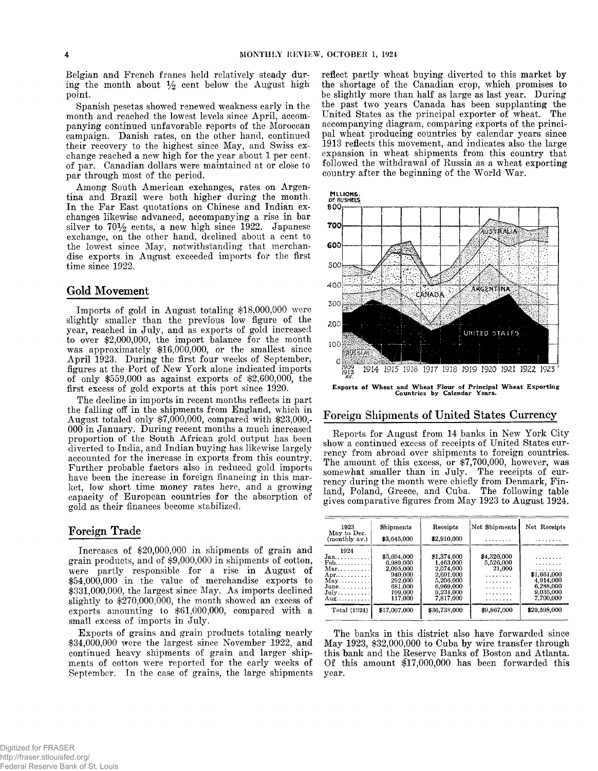Belgian and French francs held relatively steady during the month about  $\frac{1}{2}$  cent below the August high point.

Spanish pesetas showed renewed weakness early in the month and reached the lowest levels since April, accompanying continued unfavorable reports of the Moroccan campaign. Danish rates, on the other hand, continued their recovery to the highest since May, and Swiss exchange reached a new high for the year about 1 per cent, of par. Canadian dollars were maintained at or close to par through most of the period.

Among South American exchanges, rates on Argentina and Brazil were both higher during the month. In the Far East quotations on Chinese and Indian exchanges likewise advanced, accompanying a rise in bar silver to  $70\frac{1}{2}$  cents, a new high since 1922. Japanese exchange, on the other hand, declined about a cent to the lowest since May, notwithstanding that merchandise exports in August exceeded imports for the first time since 1922.

## **Gold Movement**

Imports of gold in August totaling \$18,000,000 were slightly smaller than the previous low figure of the year, reached in July, and as exports of gold increased to over \$2,000,000, the import balance for the month was approximately \$16,000,000, or the smallest since A pril 1923. During the first four weeks of September, figures at the Port of New York alone indicated imports of only \$559,000 as against exports of \$2,600,000, the first excess of gold exports at this port since 1920.

The decline in imports in recent months reflects in part the falling off in the shipments from England, which in August totaled only \$7,000,000, compared with \$23,000,- 000 in January. During recent months a much increased proportion of the South African gold output has been diverted to India, and Indian buying has likewise largely accounted for the increase in exports from this country. Further probable factors also in reduced gold imports have been the increase in foreign financing in this market, low short time money rates here, and a growing capacity of European countries for the absorption of gold as their finances become stabilized.

#### **Foreign Trade**

Increases of \$20,000,000 in shipments of grain and grain products, and of \$9,000,000 in shipments of cotton, were partly responsible for a rise in August of \$54,000,000 in the value of merchandise exports to \$331,000,000, the largest since May. As imports declined slightly to \$270,000,000, the month showed an excess of exports amounting to \$61,000,000, compared with a small excess of imports in July.

Exports of grains and grain products totaling nearly \$34,000,000 were the largest since November 1922, and continued heavy shipments of grain and larger shipments of cotton were reported for the early weeks of September. In the case of grains, the large shipments reflect partly wheat buying diverted to this market by the shortage of the Canadian crop, which promises to be slightly more than half as large as last year. During the past two years Canada has been supplanting the United States as the principal exporter of wheat. The accompanying diagram, comparing exports of the principal wheat producing countries by calendar years since 1913 reflects this movement, and indicates also the large expansion in wheat shipments from this country that followed the withdrawal of Eussia as a wheat exporting country after the beginning of the World War.



**Exports of Wheat and Wheat Flour of Principal Wheat Exporting Countries by Calendar Years.**

## **Foreign Shipments of United States Currency**

Reports for August from 14 banks in New York City show a continued excess of receipts of United States currency from abroad over shipments to foreign countries. The amount of this excess, or \$7,700,000, however, was somewhat smaller than in July. The receipts of currency during the month were chiefly from Denmark, Finland, Poland, Greece, and Cuba. The following table gives comparative figures from May 1923 to August 1924.

| 1923<br>May to Dec.         | Shipments    | Receipts     | Net Shipments | Net Receipts |
|-----------------------------|--------------|--------------|---------------|--------------|
| (monthly av.)               | \$3,645,000  | \$2,910,000  | .             | .            |
| 1924                        |              |              |               |              |
| Jan.                        | \$5,694,000  | \$1,374,000  | \$4,320,000   | .            |
| $Feb$                       | 6.989,000    | 1.463.000    | 5,526,000     | .            |
| $Mar. \ldots \ldots$        | 2.095.000    | 2,074,000    | 21,000        | .            |
| $Apr \ldots$                | 940.000      | 2.601.000    | .             | \$1,661,000  |
| $May \ldots \ldots$         | 292.000      | 5.206.000    | .             | 4.914.000    |
| $June. \ldots \ldots$ .     | 681.000      | 6,969,000    | .             | 6,288,000    |
| $July \ldots \ldots \ldots$ | 199,000      | 9.234.000    | .             | 9.035.000    |
| $Aug \ldots \ldots$         | 117.000      | 7.817.000    | .             | 7.700,000    |
| Total (1924)                | \$17,007,000 | \$36,738,000 | \$9,867,000   | \$29,598,000 |

The banks in this district also have forwarded since May 1923, \$32,000,000 to Cuba by wire transfer through this bank and the Reserve Banks of Boston and Atlanta. Of this amount \$17,000,000 has been forwarded this year.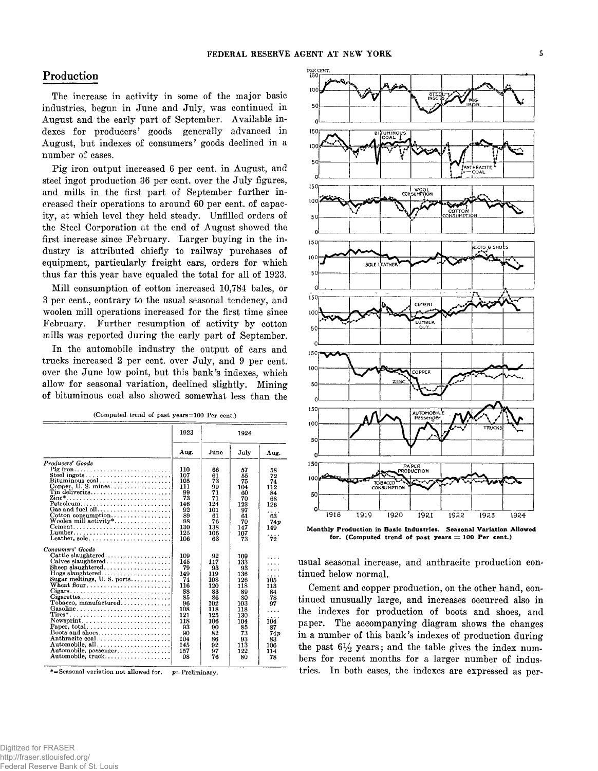# **Production**

The increase in activity in some of the major basic industries, begun in June and July, was continued in August and the early part of September. Available indexes for producers' goods generally advanced in August, but indexes of consumers' goods declined in a number of cases.

Pig iron output increased 6 per cent, in August, and steel ingot production 36 per cent, over the July figures, and mills in the first part of September further increased their operations to around 60 per cent, of capacity, at which level they held steady. Unfilled orders of the Steel Corporation at the end of August showed the first increase since February. Larger buying in the industry is attributed chiefly to railway purchases of equipment, particularly freight cars, orders for which thus far this year have equaled the total for all of 1923.

Mill consumption of cotton increased 10,784 bales, or 3 per cent., contrary to the usual seasonal tendency, and woolen mill operations increased for the first time since February. Further resumption of activity by cotton mills was reported during the early part of September.

In the automobile industry the output of cars and trucks increased 2 per cent, over July, and 9 per cent, over the June low point, but this bank's indexes, which allow for seasonal variation, declined slightly. Mining of bituminous coal also showed somewhat less than the

| (Computed trend of past years=100 Per cent.) |  |  |  |  |
|----------------------------------------------|--|--|--|--|
|----------------------------------------------|--|--|--|--|

|                                                                                | 1923 |               | 1924 |      |  |  |
|--------------------------------------------------------------------------------|------|---------------|------|------|--|--|
|                                                                                | Aug. | $_{\rm June}$ | July | Aug. |  |  |
| Producers' Goods                                                               |      |               |      |      |  |  |
| Pig iron                                                                       | 110  | 66            | 57   | 58   |  |  |
|                                                                                | 107  | 61            | 55   | 72   |  |  |
| $Bituminous coal.$                                                             | 105  | 73            | 75   | 74   |  |  |
|                                                                                | 111  | 99            | 104  | 112  |  |  |
| $\text{ Tin}$ deliveries                                                       | 99   | 71            | 60   | 84   |  |  |
|                                                                                | 73   | 71            | 70   | 68   |  |  |
| Petroleum                                                                      | 146  | 124           | 123  | 126  |  |  |
|                                                                                | 92   | 101           | 97   | .    |  |  |
| Cotton consumption                                                             | 89   | 61            | 61   | 63   |  |  |
| Woolen mill activity*                                                          | 98   | 76            | 70   | 74p  |  |  |
| $Cement \ldots \ldots \ldots \ldots \ldots \ldots \ldots \ldots \ldots \ldots$ | 130  | 138           | 147  | 149  |  |  |
| Lumber,,                                                                       | 125  | 106           | 107  |      |  |  |
| Leather, sole                                                                  | 106  | 63            | 73   | 72   |  |  |
| Consumers' Goods                                                               |      |               |      |      |  |  |
| $Cattle$ slaughtered                                                           | 109  | 92            | 109  |      |  |  |
|                                                                                | 145  | 117           | 133  |      |  |  |
|                                                                                | 79   | 93            | 93   |      |  |  |
| Hogs slaughtered                                                               | 149  | 119           | 136  |      |  |  |
| Sugar meltings, U.S. ports                                                     | 74   | 108           | 126  | 105  |  |  |
| Wheat flour. $\dots \dots \dots \dots \dots \dots \dots$                       | 116  | 120           | 118  | 113  |  |  |
| Cigars                                                                         | 88   | 83            | 89   | 84   |  |  |
| Cigarettes                                                                     | 85   | 86            | 80   | 78   |  |  |
| $Tobacco, manufacture d \ldots \ldots$                                         | 96   | 102           | 103  | 97   |  |  |
| Gasoline                                                                       | 108  | 118           | 118  |      |  |  |
| $\text{Tires}^*$                                                               | 121  | 125           | 130  |      |  |  |
| $Newsprint.$                                                                   | 118  | 106           | 104  | 104  |  |  |
| Paper. total                                                                   | 93   | 90            | 85   | 87   |  |  |
| Boots and shoes                                                                | 90   | 82            | 73   | 74p  |  |  |
| Anthracite coal                                                                | 104  | 86            | 93   | 83   |  |  |
| Automobile, all                                                                | 145  | 92            | 113  | 106  |  |  |
| Automobile, passenger                                                          | 157  | 97            | 122  | 114  |  |  |
| Automobile, truck                                                              | 98   | 76            | 80   | 78   |  |  |
|                                                                                |      |               |      |      |  |  |

\*=Seasonal variation not allowed for,  $p =$ Preliminary.



**Monthly Production in Basic Industries. Seasonal Variation Allowed for. (Computed trend of past years = 100 Per cent.)**

usual seasonal increase, and anthracite production continued below normal.

Cement and copper production, on the other hand, continued unusually large, and increases occurred also in the indexes for production of boots and shoes, and paper. The accompanying diagram shows the changes in a number of this bank's indexes of production during the past  $6\frac{1}{2}$  years; and the table gives the index numbers for recent months for a larger number of industries. In both cases, the indexes are expressed as per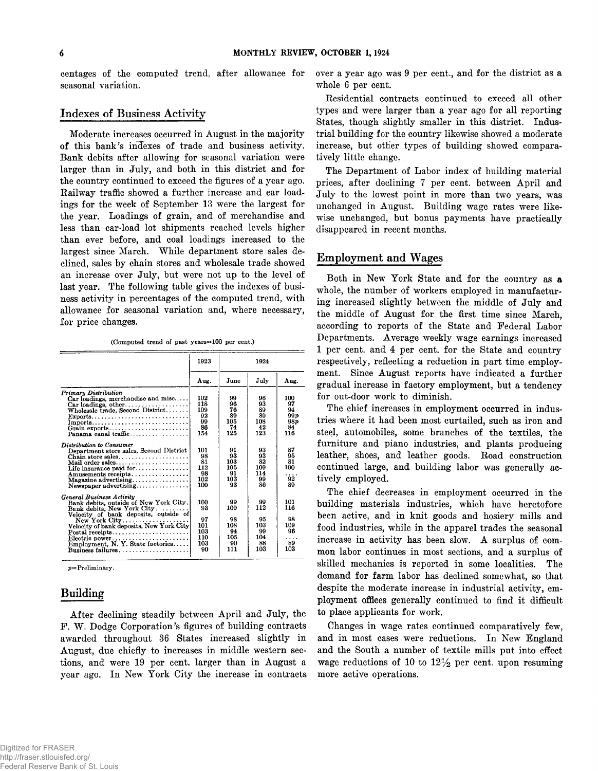centages of the computed trend., after allowance for seasonal variation.

# **Indexes of Business Activity**

Moderate increases occurred in August in the majority of this bank's indexes of trade and business activity. Bank debits after allowing for seasonal variation were larger than in July, and both in this district and for the country continued to exceed the figures of a year ago. Railway traffic showed a further increase and car loadings for the week of September 13 were the largest for the year. Loadings of grain, and of merchandise and less than car-load lot shipments reached levels higher than ever before, and coal loadings increased to the largest since March. While department store sales declined, sales by chain stores and wholesale trade showed an increase over July, but were not up to the level of last year. The following table gives the indexes of business activity in percentages of the computed trend, with allowance for seasonal variation and, where necessary, for price changes.

**(Computed trend of past years ==100 per cent.)**

|                                                                                                                                                                                                                                                                                                                                         | 1923                                              |                                                  | 1924                                             |                                                        |
|-----------------------------------------------------------------------------------------------------------------------------------------------------------------------------------------------------------------------------------------------------------------------------------------------------------------------------------------|---------------------------------------------------|--------------------------------------------------|--------------------------------------------------|--------------------------------------------------------|
|                                                                                                                                                                                                                                                                                                                                         | Aug.                                              | June                                             | July                                             | Aug.                                                   |
| Primary Distribution<br>Car loadings, merchandise and misc<br>Wholesale $t$ rade, Second District<br>$Imports, \ldots, \ldots, \ldots, \ldots, \ldots, \ldots, \ldots,$<br>Grain exports<br>Panama canal traffic                                                                                                                        | 102<br>118<br>109<br>92<br>99<br>86<br>154        | 99<br>96<br>76<br>89<br>105<br>74<br>125         | 96<br>93<br>89<br>89<br>108<br>42<br>123         | 100<br>97<br>94<br>99 v<br>98p<br>84<br>116            |
| Distribution to Consumer<br>Department store sales, Second District<br>Chain store sales<br>Mail order sales<br>Life insurance paid for<br>Amusements receipts.<br>$Newspace$ advertising                                                                                                                                               | 101<br>98<br>81<br>112<br>98<br>102<br>100        | 91<br>93<br>103<br>105<br>91<br>103<br>93        | 93<br>93<br>82<br>109<br>114<br>99<br>86         | 87<br>95<br>81<br>100<br>.<br>92<br>89                 |
| General Business Activity<br>Bank debits, outside of New York City.<br>Bank debits, New York City<br>Velocity of bank deposits, outside of<br>Velocity of bank deposits, New York City<br>$\text{Postal receipts} \dots \dots \dots \dots \dots \dots \dots$<br>Electric power<br>Employment, N.Y. State factories<br>Business failures | 100<br>93<br>97<br>101<br>103<br>110<br>103<br>90 | 99<br>109<br>98<br>108<br>94<br>105<br>90<br>111 | 99<br>112<br>95<br>103<br>99<br>104<br>88<br>103 | 101<br>116<br>98<br>109<br>96<br>$\cdots$<br>89<br>103 |

*p =* **Preliminary.**

# **Building**

A fter declining steadily between April and July, the F. W. Dodge Corporation's figures of building contracts awarded throughout 36 States increased slightly in August, due chiefly to increases in middle western sections, and were 19 per cent, larger than in August a year ago. In New York City the increase in contracts over a year ago was 9 per cent., and for the district as a whole 6 per cent.

Residential contracts continued to exceed all other types and were larger than a year ago for all reporting States, though slightly smaller in this district. Industrial building for the country likewise showed a moderate increase, but other types of building showed comparatively little change.

The Department of Labor index of building material prices, after declining 7 per cent. between April and July to the lowest point in more than two years, was unchanged in August. Building wage rates were likewise unchanged, but bonus payments have practically disappeared in recent months.

# **Employment and Wages**

Both in New York State and for the country as a whole, the number of workers employed in manufacturing increased slightly between the middle of July and the middle of August for the first time since March, according to reports of the State and Federal Labor Departments. Average weekly wage earnings increased 1 per cent, and 4 per cent, for the State and country respectively, reflecting a reduction in part time employment. Since August reports have indicated a further gradual increase in factory employment, but a tendency for out-door work to diminish.

The chief increases in employment occurred in industries where it had been most curtailed, such as iron and steel, automobiles, some branches of the textiles, the furniture and piano industries, and plants producing leather, shoes, and leather goods. Road construction continued large, and building labor was generally actively employed.

The chief decreases in employment occurred in the building materials industries, which have heretofore been active, and in knit goods and hosiery mills and food industries, while in the apparel trades the seasonal increase in activity has been slow. A surplus of common labor continues in most sections, and a surplus of skilled mechanics is reported in some localities. The demand for farm labor has declined somewhat, so that despite the moderate increase in industrial activity, employment offices generally continued to find it difficult to place applicants for work.

Changes in wage rates continued comparatively few, and in most cases were reductions. In New England and the South a number of textile mills put into effect wage reductions of 10 to  $12\frac{1}{2}$  per cent, upon resuming more active operations.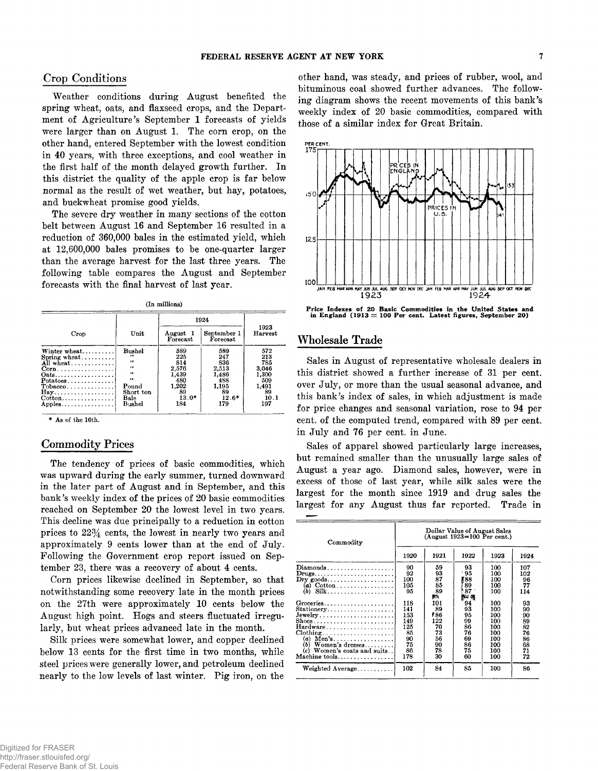# **Crop Conditions**

Weather conditions during August benefited the spring wheat, oats, and flaxseed crops, and the Department of Agriculture's September 1 forecasts of yields were larger than on August 1. The corn crop, on the other hand, entered September with the lowest condition in 40 years, with three exceptions, and cool weather in the first half of the month delayed growth further. In this district the quality of the apple crop is far below normal as the result of wet weather, but hay, potatoes, and buckwheat promise good yields.

The severe dry weather in many sections of the cotton belt between August 16 and September 16 resulted in a reduction of 360,000 bales in the estimated yield, which at 12,600,000 bales promises to be one-quarter larger than the average harvest for the last three years. The following table compares the August and September forecasts with the final harvest of last year.

**(In millions)**

|                                                                                                                                                                                     |                                                                                                          | 1924                                                                        |                                                                             |                                                                          |
|-------------------------------------------------------------------------------------------------------------------------------------------------------------------------------------|----------------------------------------------------------------------------------------------------------|-----------------------------------------------------------------------------|-----------------------------------------------------------------------------|--------------------------------------------------------------------------|
| Crop                                                                                                                                                                                | Unit                                                                                                     | August 1<br>Forecast                                                        | September 1<br>Forecast                                                     | 1923<br><b>Harvest</b>                                                   |
| Winter $wheat$<br>Spring $wheat$<br>All wheat<br>$Corn \ldots $<br>Oats<br>$\n  Potatoes \ldots \ldots \ldots \ldots \ldots$<br>$Tobaeco \ldots \ldots$<br>$\mathbf{Hay}$<br>Apples | <b>Bushel</b><br>44<br>$\ddotsc$<br>$\bullet$<br>66<br>$\bullet$<br>Pound<br>Short ton<br>Bale<br>Bushel | 589<br>225<br>814<br>2.576<br>1,439<br>480<br>1,202<br>89<br>$13.0*$<br>184 | 589<br>247<br>836<br>2.513<br>1,486<br>488<br>1,195<br>89<br>$12.6*$<br>179 | 572<br>213<br>785<br>3.046<br>1.300<br>509<br>1.491<br>89<br>10.1<br>197 |

**\* As of the 16th.**

# **Commodity Prices**

The tendency of prices of basic commodities, which was upward during the early summer, turned downward in the later part of August and in September, and this bank's weekly index of the prices of 20 basic commodities reached on September 20 the lowest level in two years. This decline was due principally to a reduction in cotton prices to *2 2%* cents, the lowest in nearly two years and approximately 9 cents lower than at the end of July. Following the Government crop report issued on September 23, there was a recovery of about 4 cents.

Corn prices likewise declined in September, so that notwithstanding some recovery late in the month prices on the 27th were approximately 10 cents below the August high point. Hogs and steers fluctuated irregularly, but wheat prices advanced late in the month.

Silk prices were somewhat lower, and copper declined below 13 cents for the first time in two months, while steel prices were generally lower, and petroleum declined nearly to the low levels of last winter. Pig iron, on the

other hand, was steady, and prices of rubber, wool, and bituminous coal showed further advances. The following diagram shows the recent movements of this bank's weekly index of 20 basic commodities, compared with those of a similar index for Great Britain.



**Price Indexes of 20 Basic Commodities in the United States and in England (1913 = 100 Per cent. Latest figures, September 20)**

# **Wholesale Trade**

Sales in August of representative wholesale dealers in this district showed a further increase of 31 per cent, over July, or more than the usual seasonal advance, and this bank's index of sales, in which adjustment is made for price changes and seasonal variation, rose to 94 per cent, of the computed trend, compared with 89 per cent, in July and 76 per cent, in June.

Sales of apparel showed particularly large increases, but remained smaller than the unusually large sales of August a year ago. Diamond sales, however, were in excess of those of last year, while silk sales were the largest for the month since 1919 and drug sales the largest for any August thus far reported. Trade in

| Commodity                                                                                                                                                                                                                                                                                                            | Dollar Value of August Sales<br>$(August 1923=100$ Per cent.)  |                                                             |                                                          |                                                                    |                                                          |  |  |  |
|----------------------------------------------------------------------------------------------------------------------------------------------------------------------------------------------------------------------------------------------------------------------------------------------------------------------|----------------------------------------------------------------|-------------------------------------------------------------|----------------------------------------------------------|--------------------------------------------------------------------|----------------------------------------------------------|--|--|--|
|                                                                                                                                                                                                                                                                                                                      | 1920                                                           | 1921                                                        | 1922                                                     | 1923                                                               | 1924                                                     |  |  |  |
| Diamonds<br>$Drugs \ldots \ldots \ldots \ldots \ldots \ldots \ldots$<br>$\mathbf{Dry}$ goods<br>(b)                                                                                                                                                                                                                  | 90<br>92<br>100<br>105<br>95                                   | 59<br>93<br>87<br>85<br>89<br>DЭ,                           | 93<br>95<br>788<br>89<br>$87^{\circ}$<br>胸痛              | 100<br>100<br>100<br>100<br>100                                    | 107<br>102<br>96<br>77<br>114                            |  |  |  |
| Groceries<br>Stationery<br>$Jewelry \ldots \ldots \ldots \ldots \ldots$<br>$\text{Shoes.} \dots \dots \dots \dots \dots \dots \dots \dots$<br>Hardware<br>$\text{Clothing} \ldots \ldots \ldots \ldots \ldots \ldots \ldots$<br>$(a)$ Men's<br>$(b)$ Women's dresses<br>(c) Women's coats and suits<br>Machine tools | 118<br>141<br>153<br>149<br>125<br>85<br>90<br>75<br>86<br>178 | 101<br>89<br>₹86<br>122<br>70<br>73<br>56<br>90<br>78<br>30 | 94<br>93<br>95<br>99<br>86<br>76<br>69<br>86<br>75<br>60 | 100<br>100<br>100<br>100<br>100<br>100<br>100<br>100<br>100<br>100 | 93<br>90<br>90<br>89<br>82<br>76<br>86<br>68<br>71<br>72 |  |  |  |
| Weighted Average                                                                                                                                                                                                                                                                                                     | 102                                                            | 84                                                          | 85                                                       | 100                                                                | 86                                                       |  |  |  |